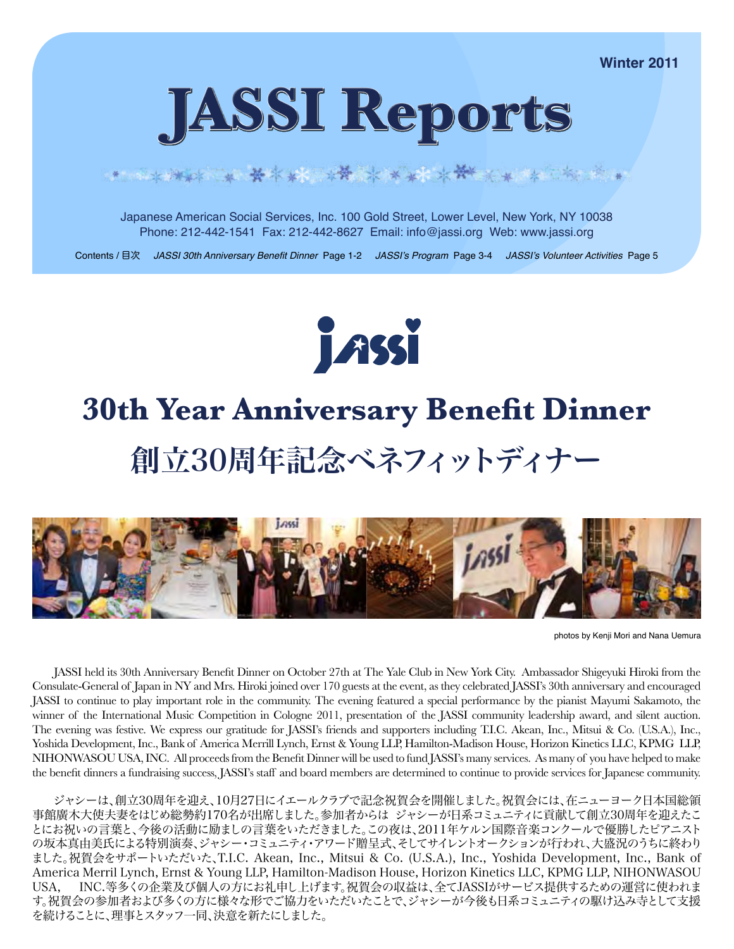**Winter 2011**



# 

Japanese American Social Services, Inc. 100 Gold Street, Lower Level, New York, NY 10038 Phone: 212-442-1541 Fax: 212-442-8627 Email: info@jassi.org Web: www.jassi.org

Contents / 目次 JASSI 30th Anniversary Benefit Dinner Page 1-2 JASSI's Program Page 3-4 JASSI's Volunteer Activities Page 5



# **30th Year Anniversary Benefit Dinner** 創立30周年記念ベネフィットディナー



photos by Kenji Mori and Nana Uemura

JASSI held its 30th Anniversary Benefit Dinner on October 27th at The Yale Club in New York City. Ambassador Shigeyuki Hiroki from the Consulate-General of Japan in NY and Mrs. Hiroki joined over 170 guests at the event, as they celebrated JASSI's 30th anniversary and encouraged JASSI to continue to play important role in the community. The evening featured a special performance by the pianist Mayumi Sakamoto, the winner of the International Music Competition in Cologne 2011, presentation of the JASSI community leadership award, and silent auction. The evening was festive. We express our gratitude for JASSI's friends and supporters including T.I.C. Akean, Inc., Mitsui & Co. (U.S.A.), Inc., Yoshida Development, Inc., Bank of America Merrill Lynch, Ernst & Young LLP, Hamilton-Madison House, Horizon Kinetics LLC, KPMG LLP, NIHONWASOU USA, INC. All proceeds from the Benefit Dinner will be used to fund JASSI's many services. As many of you have helped to make the benefit dinners a fundraising success, JASSI's staff and board members are determined to continue to provide services for Japanese community.

ジャシーは、創立30周年を迎え、10月27日にイエールクラブで記念祝賀会を開催しました。祝賀会には、在ニューヨーク日本国総領 事館廣木大使夫妻をはじめ総勢約170名が出席しました。参加者からは ジャシーが日系コミュニティに貢献して創立30周年を迎えたこ とにお祝いの言葉と、今後の活動に励ましの言葉をいただきました。この夜は、2011年ケルン国際音楽コンクールで優勝したピアニスト の坂本真由美氏による特別演奏、ジャシー・コミュニティ・アワード贈呈式、そしてサイレントオークションが行われ、大盛況のうちに終わり ました。祝賀会をサポートいただいた、T.I.C. Akean, Inc., Mitsui & Co. (U.S.A.), Inc., Yoshida Development, Inc., Bank of America Merril Lynch, Ernst & Young LLP, Hamilton-Madison House, Horizon Kinetics LLC, KPMG LLP, NIHONWASOU USA, INC.等多くの企業及び個人の方にお礼申し上げます。祝賀会の収益は、全てJASSIがサービス提供するための運営に使われま す。祝賀会の参加者および多くの方に様々な形でご協力をいただいたことで、ジャシーが今後も日系コミュニティの駆け込み寺として支援 を続けることに、理事とスタッフ一同、決意を新たにしました。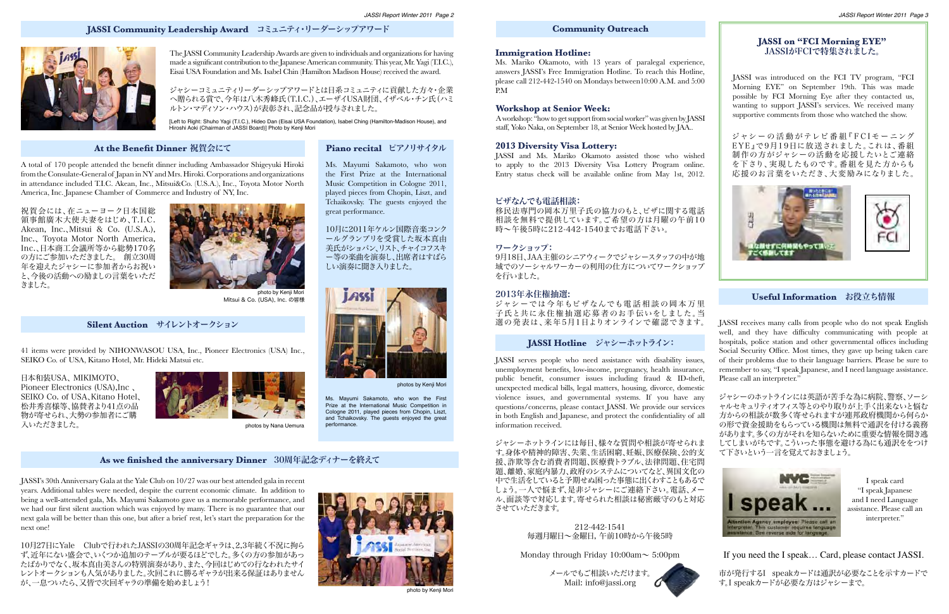JASSI serves people who need assistance with disability issues, unemployment benefits, low-income, pregnancy, health insurance, public benefit, consumer issues including fraud & ID-theft, unexpected medical bills, legal matters, housing, divorce, domestic violence issues, and governmental systems. If you have any questions/concerns, please contact JASSI. We provide our services in both English and Japanese, and protect the confidentiality of all information received.

ジャシーホットラインには毎日、様々な質問や相談が寄せられま す。身体や精神的障害、失業、生活困窮、妊娠、医療保険、公的支 援、詐欺等含む消費者問題、医療費トラブル、法律問題、住宅問 題、離婚、家庭内暴力、政府のシステムについてなど、異国文化の 中で生活をしていると予期せぬ困った事態に出くわすこともあるで しょう。一人で悩まず、是非ジャシーにご連絡下さい。電話、メー ル、面談等で対応します。寄せられた相談は秘密厳守のもと対応 させていただきます。

# **JASSI on "FCI Morning EYE"** JASSIがFCIで特集されました。

JASSI was introduced on the FCI TV program, "FCI Morning EYE" on September 19th. This was made possible by FCI Morning Eye after they contacted us, wanting to support JASSI's services. We received many supportive comments from those who watched the show.

ジャシー の 活 動 がテレビ 番 組『 F C I モー ニング EYE』で9月19日に放送されました。これは、番組 制作の方がジャシーの活動を応援したいとご連絡 を下さり、実現したものです。番組を見た方からも 応援のお言葉をいただき、大変励みになりました。



# **Useful Information** お役立ち情報

# **JASSI Hotline** ジャシーホットライン:

#### **Community Outreach**

212-442-1541 毎週月曜日~金曜日, 午前10時から午後5時

Monday through Friday  $10:00$ am $\sim 5:00$ pm

メールでもご相談いただけます。 Mail: info@jassi.org



JASSI receives many calls from people who do not speak English well, and they have difficulty communicating with people at hospitals, police station and other governmental offices including Social Security Office. Most times, they gave up being taken care of their problems due to their language barriers. Please be sure to remember to say, "I speak Japanese, and I need language assistance. Please call an interpreter."

ジャシーのホットラインには英語が苦手な為に病院、警察、ソーシ ャルセキュリティオフィス等とのやり取りが上手く出来ないと悩む 方からの相談が数多く寄せられますが連邦政府機関から何らか の形で資金援助をもらっている機関は無料で通訳を付ける義務 があります。多くの方がそれを知らないために重要な情報を聞き逃 してしまいがちです。こういった事態を避ける為にも通訳ををつけ て下さいという一言を覚えておきましょう。



# If you need the I speak… Card, please contact JASSI.

市が発行するI speakカードは通訳が必要なことを示すカードで す。I speakカードが必要な方はジャシーまで。

I speak card "I speak Japanese and I need Language assistance. Please call an interpreter."

The JASSI Community Leadership Awards are given to individuals and organizations for having made a significant contribution to the Japanese American community. This year, Mr. Yagi (T.I.C.), Eisai USA Foundation and Ms. Isabel Chin (Hamilton Madison House) received the award.

[Left to Right: Shuho Yagi (T.I.C.), Hideo Dan (Eisai USA Foundation), Isabel Ching (Hamilton-Madison House), and Hiroshi Aoki (Chairman of JASSI Board)] Photo by Kenji Mori

# **At the Benefit Dinner 祝賀会にて インタル Piano recital ピアノリサイタル**

ジャシーコミュニティリーダーシップアワードとは日系コミュニティに貢献した方々・企業 へ贈られる賞で、今年は八木秀峰氏(T.I.C.)、エーザイUSA財団、イザベル・チン氏(ハミ ルトン・マディソン・ハウス)が表彰され、記念品が授与されました。

> ジャシーでは今年もビザなんでも電話相談の岡本万里 子氏と共に永住権抽選応募者のお手伝いをしました。当 選の発表は、来年5月1日よりオンラインで確認できます。

A total of 170 people attended the benefit dinner including Ambassador Shigeyuki Hiroki from the Consulate-General of Japan in NY and Mrs. Hiroki. Corporations and organizations in attendance included T.I.C. Akean, Inc., Mitsui&Co. (U.S.A.), Inc., Toyota Motor North America, Inc. Japanese Chamber of Commerce and Industry of NY, Inc.



Mitsui & Co. (USA), Inc. の皆様

祝賀会には、在ニューヨーク日本国総 領事館廣木大使夫妻をはじめ、T.I.C. Akean, Inc., Mitsui & Co. (U.S.A.), Inc.、 Toyota Motor North America, Inc.、日本商工会議所等から総勢170名 の方にご参加いただきました。 創立30周 年を迎えたジャシーに参加者からお祝い と、今後の活動への励ましの言葉をいただ きました。

Ms. Mayumi Sakamoto, who won the First Prize at the International Music Competition in Cologne 2011, played pieces from Chopin, Liszt, and Tchaikovsky. The guests enjoyed the



great performance.

Ms. Mayumi Sakamoto, who won the First Prize at the International Music Competition in Cologne 2011, played pieces from Chopin, Liszt, and Tchaikovsky. The guests enjoyed the great

performance.

photos by Kenji Mori

10月に2011年ケルン国際音楽コンク

41 items were provided by NIHONWASOU USA, Inc., Pioneer Electronics (USA) Inc., SEIKO Co. of USA, Kitano Hotel, Mr. Hideki Matsui etc.

photos by Nana Uemura

日本和装USA、 MIKIMOTO、 Pioneer Electronics (USA),Inc 、 SEIKO Co. of USA、Kitano Hotel、 松井秀喜様等、協賛者より41点の品 物が寄せられ、大勢の参加者にご購 入いただきました。



JASSI's 30th Anniversary Gala at the Yale Club on 10/27 was our best attended gala in recent years. Additional tables were needed, despite the current economic climate. In addition to being a well-attended gala, Ms. Mayumi Sakamoto gave us a memorable performance, and we had our first silent auction which was enjoyed by many. There is no guarantee that our next gala will be better than this one, but after a brief rest, let's start the preparation for the next one!

10月27日にYale Clubで行われたJASSIの30周年記念ギャラは、2,3年続く不況に拘ら ず、近年にない盛会で、いくつか追加のテーブルが要るほどでした。多くの方の参加があっ たばかりでなく、坂本真由美さんの特別演奏があり、また、今回はじめての行なわれたサイ レントオークションも人気がありました。次回これに勝るギャラが出来る保証はありません が、一息ついたら、又皆で次回ギャラの準備を始めましょう!



#### photo by Kenii Mor

# **JASSI Community Leadership Award** コミュニティ・リーダーシップアワード



# **As we finished the anniversary Dinner** 30周年記念ディナーを終えて

# **Silent Auction** サイレントオークション

#### **Immigration Hotline:**

Ms. Mariko Okamoto, with 13 years of paralegal experience, answers JASSI's Free Immigration Hotline. To reach this Hotline, please call 212-442-1540 on Mondays between10:00 A.M. and 5:00 P.M

#### **Workshop at Senior Week:**

A workshop: "how to get support from social worker" was given by JASSI staff, Yoko Naka, on September 18, at Senior Week hosted by JAA..

#### **2013 Diversity Visa Lottery:**

JASSI and Ms. Mariko Okamoto assisted those who wished to apply to the 2013 Diversity Visa Lottery Program online. Entry status check will be available online from May 1st, 2012.

#### ビザなんでも電話相談:

移民法専門の岡本万里子氏の協力のもと、ビザに関する電話 相談を無料で提供しています。ご希望の方は月曜の午前10 時〜午後5時に212-442-1540までお電話下さい。

#### ワークショップ:

9月18日、JAA主催のシニアウィークでジャシースタッフの中が地 域でのソーシャルワーカーの利用の仕方についてワークショップ を行いました。

#### 2013年永住権抽選: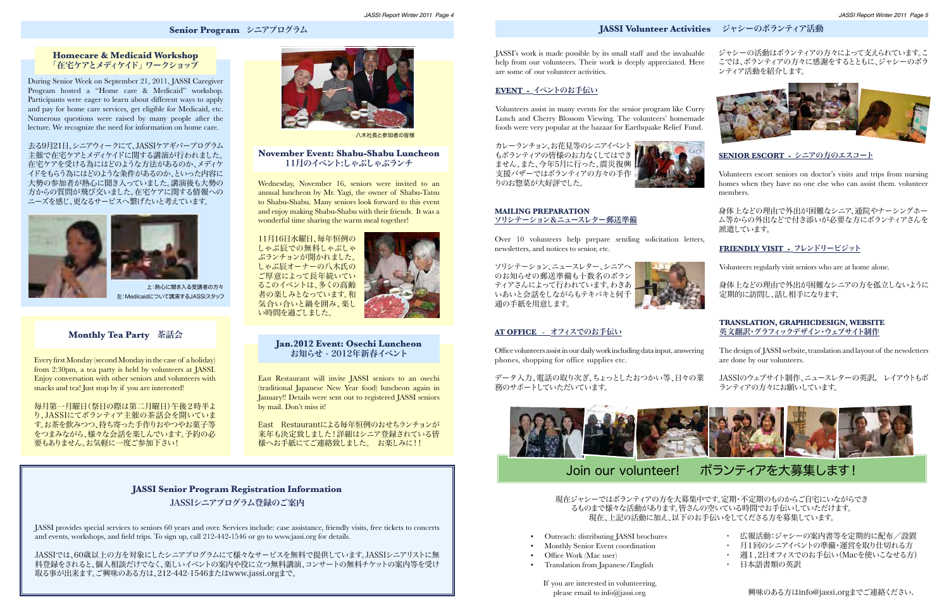# **Senior Program** シニアプログラム **JASSI Volunteer Activities** ジャシーのボランティア活動

## **Homecare & Medicaid Workshop** 「在宅ケアとメディケイド」 ワークショップ

During Senior Week on September 21, 2011, JASSI Caregiver Program hosted a "Home care & Medicaid" workshop. Participants were eager to learn about different ways to apply and pay for home care services, get eligible for Medicaid, etc. Numerous questions were raised by many people after the lecture. We recognize the need for information on home care.

# **November Event: Shabu-Shabu Luncheon** 11月のイベント:しゃぶしゃぶランチ

Wednesday, November 16, seniors were invited to an annual luncheon by Mr. Yagi, the owner of Shabu-Tatsu to Shabu-Shabu. Many seniors look forward to this event and enjoy making Shabu-Shabu with their friends. It was a wonderful time sharing the warm meal together!

# **Monthly Tea Party** 茶話会

Every first Monday (second Monday in the case of a holiday) from 2:30pm, a tea party is held by volunteers at JASSI. Enjoy conversation with other seniors and volunteers with snacks and tea! Just stop by if you are interested!

#### **Jan.2012 Event: Osechi Luncheon**  お知らせ - 2012年新春イベント

East Restaurant will invite JASSI seniors to an osechi (traditional Japanese New Year food) luncheon again in January!! Details were sent out to registered JASSI seniors by mail. Don't miss it!

カレーランチョン、お花見等のシニアイベントト もボランティアの皆様のお力なくしてはでき ません。また、今年5月に行った、震災復興 支援バザーではボランティアの方々の手作 りのお惣菜が大好評でした。



去る9月21日、シニアウィークにて、JASSIケアギバープログラム 主催で在宅ケアとメディケイドに関する講演が行われました。 在宅ケアを受ける為にはどのような方法があるのか、メディケ イドをもらう為にはどのような条件があるのか、といった内容に 大勢の参加者が熱心に聞き入っていました。講演後も大勢の 方からの質問が飛び交いました。在宅ケアに関する情報への ニーズを感じ、更なるサービスへ繋げたいと考えています。



11月16日水曜日、毎年恒例の しゃぶ辰での無料しゃぶしゃ ぶランチョンが開かれました。 しゃぶ辰オーナーの八木氏の ご厚意によって長年続いてい るこのイベントは、多くの高齢 者の楽しみとなっています。和 気合い合いと鍋を囲み、楽し い時間を過ごしました。



毎月第一月曜日(祭日の際は第二月曜日)午後2時半よ り、JASSIにてボランティア主催の茶話会を開いていま す。お茶を飲みつつ、持ち寄った手作りおやつやお菓子等 をつまみながら、様々な会話を楽しんでいます。予約の必 要もありません。お気軽に一度ご参加下さい!

- ・ 広報活動:ジャシーの案内書等を定期的に配布/設置
- ・ 月1回のシニアイベントの準備・運営を取り仕切れる方
- ・ 週1、2日オフィスでのお手伝い(Macを使いこなせる方)
- 日本語書類の英訳

East Restaurantによる毎年恒例のおせちランチョンが 来年も決定致しました!詳細はシニア登録されている皆 様へお手紙にてご連絡致しました。 お楽しみに!!

#### **JASSI Senior Program Registration Information**

JASSIシニアプログラム登録のご案内

JASSI provides special services to seniors 60 years and over. Services include: case assistance, friendly visits, free tickets to concerts and events, workshops, and field trips. To sign up, call 212-442-1546 or go to www.jassi.org for details.

JASSIでは、60歳以上の方を対象にしたシニアプログラムにて様々なサービスを無料で提供しています。JASSIシニアリストに無 料登録をされると、個人相談だけでなく、楽しいイベントの案内や役に立つ無料講演、コンサートの無料チケットの案内等を受け 取る事が出来ます。ご興味のある方は、212-442-1546またはwww.jassi.orgまで。



左:Medicaidについて講演するJASSIスタッフ 上:熱心に聞き入る受講者の方々



八木社長と参加者の皆様

ジャシーの活動はボランティアの方々によって支えられています。こ こでは、ボランティアの方々に感謝をするとともに、ジャシーのボラ ンティア活動を紹介します。







# **Event -** イベントのお手伝い

Volunteers assist in many events for the senior program like Curry Lunch and Cherry Blossom Viewing. The volunteers' homemade foods were very popular at the bazaar for Earthquake Relief Fund.

#### **At Office** - オフィスでのお手伝い

Office volunteers assist in our daily work including data input, answering phones, shopping for office supplies etc.

データ入力、電話の取り次ぎ、ちょっとしたおつかい等、日々の業 務のサポートしていただいています。





Volunteers escort seniors on doctor's visits and trips from nursing homes when they have no one else who can assist them. volunteer members.

身体上などの理由で外出が困難なシニア、通院やナーシングホー ム等からの外出などで付き添いが必要な方にボランティアさんを 派遣しています。

# **Friendly Visit -** フレンドリービジット

Volunteers regularly visit seniors who are at home alone.



身体上などの理由で外出が困難なシニアの方を孤立しないように 定期的に訪問し、話し相手になります。

現在ジャシーではボランティアの方を大募集中です。定期・不定期のものからご自宅にいながらでき るものまで様々な活動があります。皆さんの空いている時間でお手伝いしていただけます。 現在、上記の活動に加え、以下のお手伝いをしてくださる方を募集しています。

- Outreach: distributing JASSI brochures
- Monthly Senior Event coordination
- Office Work (Mac user)
- Translation from Japanese/English

JASSI's work is made possible by its small staff and the invaluable help from our volunteers. Their work is deeply appreciated. Here are some of our volunteer activities.

#### **Mailing Preparation** ソリシテーション&ニュースレター郵送準備

Over 10 volunteers help prepare sending solicitation letters, newsletters, and notices to senior, etc.

ソリシテーション、ニュースレター、シニアへ のお知らせの郵送準備も十数名のボラン ティアさんによって行われています。わきあ いあいと会話をしながらもテキパキと何千 通の手紙を用意します。



## **Translation , Graphic Desi gn, Website** 英文翻訳・グラフィックデザイン・ウェブサイト制作

- The design of JASSI website, translation and layout of the newsletters are done by our volunteers.
- JASSIのウェブサイト制作、ニュースレターの英訳, レイアウトもボ ランティアの方々にお願いしています。

興味のある方はinfo@jassi.orgまでご連絡ください.

# Join our volunteer! ボランティアを大募集します!

If you are interested in volunteering, please email to info@jassi.org.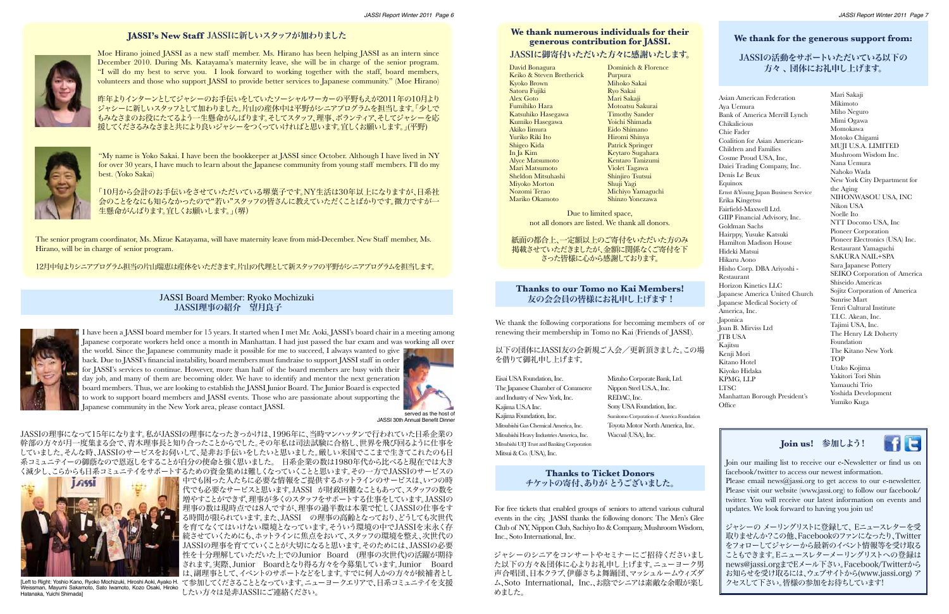# **JASSI's New Staff** JASSIに新しいスタッフが加わりました



Moe Hirano joined JASSI as a new staff member. Ms. Hirano has been helping JASSI as an intern since December 2010. During Ms. Katayama's maternity leave, she will be in charge of the senior program. "I will do my best to serve you. I look forward to working together with the staff, board members, volunteers and those who support JASSI to provide better services to Japanese community." (Moe Hirano)

"My name is Yoko Sakai. I have been the bookkeeper at JASSI since October. Although I have lived in NY for over 30 years, I have much to learn about the Japanese community from young staff members. I'll do my best. (Yoko Sakai)

昨年よりインターンとしてジャシーのお手伝いをしていたソーシャルワーカーの平野もえが2011年の10月より ジャシーに新しいスタッフとして加わりました。片山の産休中は平野がシニアプログラムを担当します。「少しで もみなさまのお役にたてるよう一生懸命がんばります。そしてスタッフ、理事、ボランティア、そしてジャシーを応 援してくださるみなさまと共により良いジャシーをつくっていければと思います。宜しくお願いします。」(平野)



「10月から会計のお手伝いをさせていただいている堺葉子です。NY生活は30年以上になりますが、日系社 会のことをなにも知らなかったので"若い"スタッフの皆さんに教えていただくことばかりです。微力ですが一 生懸命がんばります。宜しくお願いします。」(堺)

The senior program coordinator, Ms. Mizue Katayama, will have maternity leave from mid-December. New Staff member, Ms. Hirano, will be in charge of senior program.

12月中旬よりシニアプログラム担当の片山瑞恵は産休をいただきます。片山の代理として新スタッフの平野がシニアプログラムを担当します。

JASSIの理事になって15年になります。私がJASSIの理事になったきっかけは、1996年に、当時マンハッタンで行われていた日系企業の 幹部の方々が月一度集まる会で、青木理事長と知り合ったことからでした。その年私は司法試験に合格し、世界を飛び回るように仕事を していました。そんな時、JASSIのサービスをお伺いして、是非お手伝いをしたいと思いました。厳しい米国でここまで生きてこれたのも日 系コミュニテイーの御蔭なので恩返しをすることが自分の使命と強く思いました。 日系企業の数は1980年代から比べると現在では大き く減少し、こらからも日系コミュニテイをサポートするための資金集めは難しくなっていくことと思います。その一方でJASSIのサービスの

中でも困った人たちに必要な情報をご提供するホットラインのサービスは、いつの時 代でも必要なサービスと思います。JASSI が財政困難なこともあって、スタッフの数を 増やすことができず、理事が多くのスタッフをサポートする仕事をしています。JASSIの 理事の数は現時点では8人ですが、理事の過半数は本業で忙しくJASSIの仕事をす る時間が限られています。また、JASSI の理事の高齢となっており、どうしても次世代 を育てなくてはいけない環境となっています。そういう環境の中でJASSIを末永く存 続させていくためにも、ホットラインに焦点をおいて、スタッフの環境を整え、次世代の JASSIの理事を育てていくことが大切になると思います。そのためには、JASSIの必要 性を十分理解していただいた上でのJunior Board (理事の次世代)の活躍が期待 されます。実際、Junior Boardとなり得る方々を今募集しています。Junior Board は、副理事として、イベントのサポートなどをします。すでに何人かの方々が候補者とし [Left to Right: Yoshio Kano, Ryoko Mochizuki, Hiroshi Aoki, Ayako H. て参加してくださることとなっています。ニューヨークエリアで、日系コミュニテイを支援 したい方々は是非JASSIにご連絡ください。

Asian American Federation Aya Uemura Bank of America Merrill Lynch Chikalicious Chie Fader Coalition for Asian American-Children and Families Cosme Proud USA, Inc, Daiei Trading Company, Inc. Denis Le Beux Equinox Ernst &Young Japan Business Service Erika Kingetsu Fairfield-Maxwell Ltd. GIIP Financial Advisory, Inc. Goldman Sachs Hairppy, Yusuke Katsuki Hamilton Madison House Hideki Matsui Hikaru Aono Hisho Corp. DBA Ariyoshi - Restaurant Horizon Kinetics LLC Japanese America United Church Japanese Medical Society of America, Inc. Japonica Joan B. Mirviss Ltd JTB USA Kajitsu Kenji Mori Kitano Hotel Kiyoko Hidaka KPMG, LLP LTSC Manhattan Borough President's **Office** 

I have been a JASSI board member for 15 years. It started when I met Mr. Aoki, JASSI's board chair in a meeting among Japanese corporate workers held once a month in Manhattan. I had just passed the bar exam and was working all over

the world. Since the Japanese community made it possible for me to succeed, I always wanted to give back. Due to JASSI's financial instability, board members must fundraise to support JASSI staff in order for JASSI's services to continue. However, more than half of the board members are busy with their day job, and many of them are becoming older. We have to identify and mentor the next generation board members. Thus, we are looking to establish the JASSI Junior Board. The Junior Board is expected to work to support board members and JASSI events. Those who are passionate about supporting the Japanese community in the New York area, please contact JASSI.



JASSI 30th Annual Benefit Dinner

# **We thank numerous individuals for their generous contribution for JASSI.** JASSIに御寄付いただいた方々に感謝いたします。

David Bonagura Keiko & Steven Bretherick Kyoko Brown Satoru Fujiki Alex Goto Fumihiko Hara Katsuhiko Hasegawa Kumiko Hasegawa Akiko Iimura Yuriko Riki Ito Shigeo Kida In Ja Kim Alyce Matsumoto Mari Matsumoto Sheldon Mitsuhashi Miyoko Morton Nozomi Terao Mariko Okamoto

> Due to limited space, not all donors are listed. We thank all donors.

紙面の都合上、一定額以上のご寄付をいただいた方のみ 掲載させていただきましたが、金額に関係なくご寄付を下 さった皆様に心から感謝しております。

# **Thanks to our Tomo no Kai Members!**  友の会会員の皆様にお礼申し上げます !

以下の団体にJASSI友の会新規ご入会/更新頂きました。この場 を借りて御礼申し上げます。

Eisai USA Foundation, Inc. The Japanese Chamber of Commerce and Industry of New York, Inc. Kajima U.S.A Inc. Kajima Foundation, Inc. Mitsubishi Gas Chemical America, Inc. Mitsubishi Heavy Industries America, Inc. Mitsubishi UFJ Trust and Banking Corporation Mitsui & Co. (USA), Inc.

# **We thank for the generous support from:**

# JASSIの活動をサポートいただいている以下の 方々 、 団体にお礼申し上げます。

### **Thanks to Ticket Donors** チケットの寄付、ありが とうございました。

# JASSI Board Member: Ryoko Mochizuki JASSI理事の紹介 望月良子



For free tickets that enabled groups of seniors to attend various cultural events in the city, JASSI thanks the following donors: The Men's Glee Club of NY, Nippon Club, Sachiyo Ito & Company, Mushroom Wisdom, Inc., Soto International, Inc.

ジャシーのシニアをコンサートやセミナーにご招待くださいまし た以下の方々&団体に心よりお礼申し上げます。ニューヨーク男 声合唱団、日本クラブ、伊藤さちよ舞踊団、マッシュルームウィズダ ム、Soto International, Inc.、お陰でシニアは素敵な余暇が楽し めました。

# **Join us!** 参加しよう!

**HE** 

Join our mailing list to receive our e-Newsletter or find us on facebook/twitter to access our newest information. Please email news@jassi.org to get access to our e-newsletter. Please visit our website (www.jassi.org) to follow our facebook/ twitter. You will receive our latest information on events and updates. We look forward to having you join us!

ジャシーの メーリングリストに登録して、 Eニュースレターを受 取りませんか?この他、Facebookのファンになったり、Twitter をフォローしてジャシーから最新のイベント情報等を受け取る こともできます。Eニュースレターメーリングリストへの登録は news@jassi.orgまでEメール下さい。Facebook/Twitterから お知らせを受け取るには、ウェブサイトから(www.jassi.org) ア クセスして下さい。皆様の参加をお待ちしています!

Dominich & Florence Purpura Mihoko Sakai Ryo Sakai Mari Sakaji Motoatsu Sakurai Timothy Sander Yoichi Shimada Eido Shimano Hiromi Shinya Patrick Springer Keytaro Sugahara Kentaro Tanizumi Violet Tagawa Shinjiro Tsutsui Shuji Yagi Michiyo Yamaguchi Shinzo Yonezawa

We thank the following corporations for becoming members of or renewing their membership in Tomo no Kai (Friends of JASSI).

Mari Sakaji Mikimoto Miho Neguro Mimi Ogawa Momokawa Motoko Chigami MUJI U.S.A. LIMITED Mushroom Wisdom Inc. Nana Uemura Nahoko Wada New York City Department for the Aging NIHONWASOU USA, INC Nikon USA Noelle Ito NTT Docomo USA, Inc Pioneer Corporation Pioneer Electronics (USA) Inc. Restaurant Yamaguchi SAKURA NAIL+SPA Sara Japanese Pottery SEIKO Corporation of America Shiseido Americas Sojitz Corporation of America Sunrise Mart Tenri Cultural Institute T.I.C. Akean, Inc. Tajimi USA, Inc. The Henry L& Doherty Foundation The Kitano New York TOP Utako Kojima Yakitori Tori Shin Yamauchi Trio Yoshida Development Yumiko Kuga



Mizuho Corporate Bank, Ltd. Nippon Steel U.S.A., Inc. REDAC, Inc. Sony USA Foundation, Inc. Sumitomo Corporation of America Foundation Toyota Motor North America, Inc. Wacoal (USA), Inc.



Weissman, Mayumi Sakamoto, Sato Iwamoto, Kozo Osaki, Hiroko Hatanaka, Yuichi Shimada]